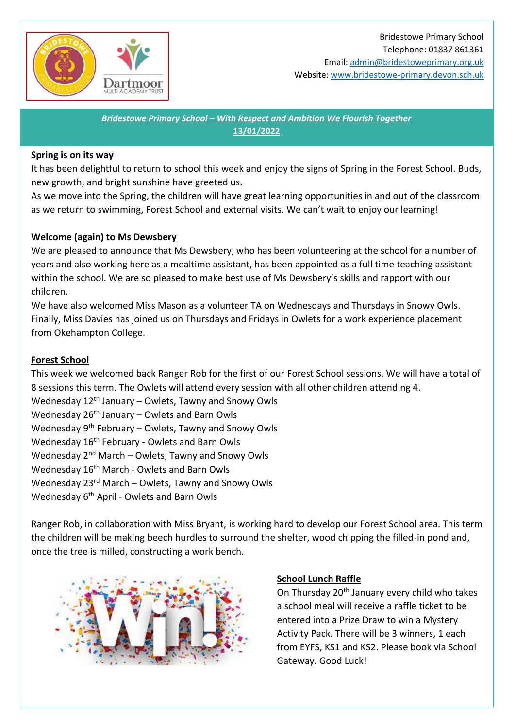

Email[: admin@bridestoweprimary.org.uk](mailto:admin@bridestoweprimary.org.uk) Website: [www.bridestowe-primary.devon.sch.uk](http://www.bridestowe-primary.devon.sch.uk/)

*Bridestowe Primary School – With Respect and Ambition We Flourish Together* **13/01/2022**

### **Spring is on its way**

It has been delightful to return to school this week and enjoy the signs of Spring in the Forest School. Buds, new growth, and bright sunshine have greeted us.

As we move into the Spring, the children will have great learning opportunities in and out of the classroom as we return to swimming, Forest School and external visits. We can't wait to enjoy our learning!

## **Welcome (again) to Ms Dewsbery**

We are pleased to announce that Ms Dewsbery, who has been volunteering at the school for a number of years and also working here as a mealtime assistant, has been appointed as a full time teaching assistant within the school. We are so pleased to make best use of Ms Dewsbery's skills and rapport with our children.

We have also welcomed Miss Mason as a volunteer TA on Wednesdays and Thursdays in Snowy Owls. Finally, Miss Davies has joined us on Thursdays and Fridays in Owlets for a work experience placement from Okehampton College.

### **Forest School**

This week we welcomed back Ranger Rob for the first of our Forest School sessions. We will have a total of 8 sessions this term. The Owlets will attend every session with all other children attending 4. Wednesday  $12<sup>th</sup>$  January – Owlets, Tawny and Snowy Owls Wednesday  $26<sup>th</sup>$  January – Owlets and Barn Owls Wednesday 9<sup>th</sup> February – Owlets, Tawny and Snowy Owls Wednesday 16<sup>th</sup> February - Owlets and Barn Owls Wednesday 2nd March – Owlets, Tawny and Snowy Owls Wednesday 16<sup>th</sup> March - Owlets and Barn Owls Wednesday  $23<sup>rd</sup>$  March – Owlets, Tawny and Snowy Owls Wednesday 6th April - Owlets and Barn Owls

Ranger Rob, in collaboration with Miss Bryant, is working hard to develop our Forest School area. This term the children will be making beech hurdles to surround the shelter, wood chipping the filled-in pond and, once the tree is milled, constructing a work bench.



#### **School Lunch Raffle**

On Thursday 20<sup>th</sup> January every child who takes a school meal will receive a raffle ticket to be entered into a Prize Draw to win a Mystery Activity Pack. There will be 3 winners, 1 each from EYFS, KS1 and KS2. Please book via School Gateway. Good Luck!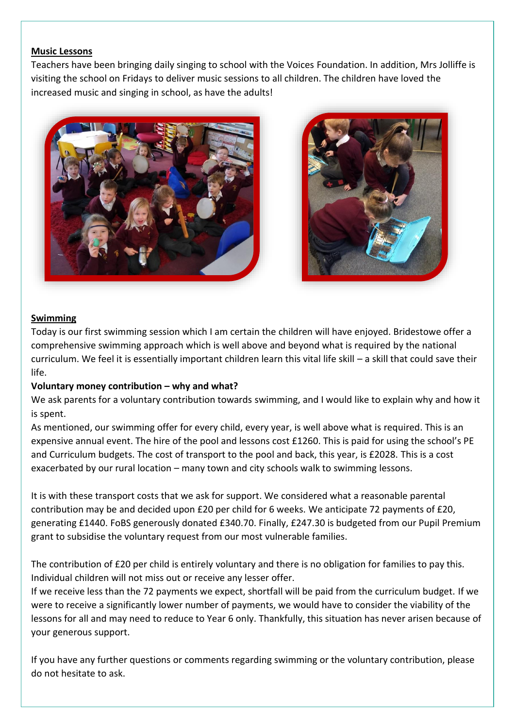## **Music Lessons**

Teachers have been bringing daily singing to school with the Voices Foundation. In addition, Mrs Jolliffe is visiting the school on Fridays to deliver music sessions to all children. The children have loved the increased music and singing in school, as have the adults!





## **Swimming**

Today is our first swimming session which I am certain the children will have enjoyed. Bridestowe offer a comprehensive swimming approach which is well above and beyond what is required by the national curriculum. We feel it is essentially important children learn this vital life skill – a skill that could save their life.

#### **Voluntary money contribution – why and what?**

We ask parents for a voluntary contribution towards swimming, and I would like to explain why and how it is spent.

As mentioned, our swimming offer for every child, every year, is well above what is required. This is an expensive annual event. The hire of the pool and lessons cost £1260. This is paid for using the school's PE and Curriculum budgets. The cost of transport to the pool and back, this year, is £2028. This is a cost exacerbated by our rural location – many town and city schools walk to swimming lessons.

It is with these transport costs that we ask for support. We considered what a reasonable parental contribution may be and decided upon £20 per child for 6 weeks. We anticipate 72 payments of £20, generating £1440. FoBS generously donated £340.70. Finally, £247.30 is budgeted from our Pupil Premium grant to subsidise the voluntary request from our most vulnerable families.

The contribution of £20 per child is entirely voluntary and there is no obligation for families to pay this. Individual children will not miss out or receive any lesser offer.

If we receive less than the 72 payments we expect, shortfall will be paid from the curriculum budget. If we were to receive a significantly lower number of payments, we would have to consider the viability of the lessons for all and may need to reduce to Year 6 only. Thankfully, this situation has never arisen because of your generous support.

If you have any further questions or comments regarding swimming or the voluntary contribution, please do not hesitate to ask.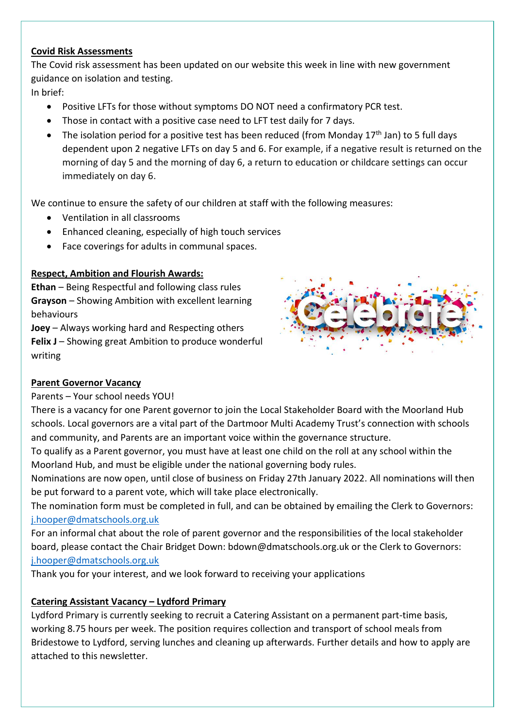# **Covid Risk Assessments**

The Covid risk assessment has been updated on our website this week in line with new government guidance on isolation and testing.

In brief:

- Positive LFTs for those without symptoms DO NOT need a confirmatory PCR test.
- Those in contact with a positive case need to LFT test daily for 7 days.
- The isolation period for a positive test has been reduced (from Monday  $17<sup>th</sup>$  Jan) to 5 full days dependent upon 2 negative LFTs on day 5 and 6. For example, if a negative result is returned on the morning of day 5 and the morning of day 6, a return to education or childcare settings can occur immediately on day 6.

We continue to ensure the safety of our children at staff with the following measures:

- Ventilation in all classrooms
- Enhanced cleaning, especially of high touch services
- Face coverings for adults in communal spaces.

# **Respect, Ambition and Flourish Awards:**

**Ethan** – Being Respectful and following class rules **Grayson** – Showing Ambition with excellent learning behaviours

**Joey** – Always working hard and Respecting others **Felix J** – Showing great Ambition to produce wonderful writing



# **Parent Governor Vacancy**

# Parents – Your school needs YOU!

There is a vacancy for one Parent governor to join the Local Stakeholder Board with the Moorland Hub schools. Local governors are a vital part of the Dartmoor Multi Academy Trust's connection with schools and community, and Parents are an important voice within the governance structure.

To qualify as a Parent governor, you must have at least one child on the roll at any school within the Moorland Hub, and must be eligible under the national governing body rules.

Nominations are now open, until close of business on Friday 27th January 2022. All nominations will then be put forward to a parent vote, which will take place electronically.

The nomination form must be completed in full, and can be obtained by emailing the Clerk to Governors: [j.hooper@dmatschools.org.uk](mailto:j.hooper@dmatschools.org.uk)

For an informal chat about the role of parent governor and the responsibilities of the local stakeholder board, please contact the Chair Bridget Down: bdown@dmatschools.org.uk or the Clerk to Governors: [j.hooper@dmatschools.org.uk](mailto:j.hooper@dmatschools.org.uk)

Thank you for your interest, and we look forward to receiving your applications

# **Catering Assistant Vacancy – Lydford Primary**

Lydford Primary is currently seeking to recruit a Catering Assistant on a permanent part-time basis, working 8.75 hours per week. The position requires collection and transport of school meals from Bridestowe to Lydford, serving lunches and cleaning up afterwards. Further details and how to apply are attached to this newsletter.